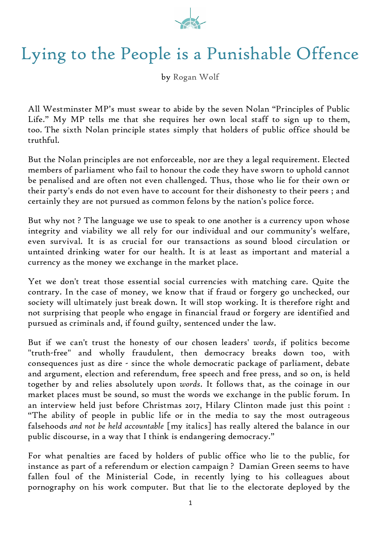

## Lying to the People is a Punishable Offence

by [Rogan Wolf](http://www.roganwolf.com/)

All Westminster MP's must swear to abide by the seven Nolan "Principles of Public Life." My MP tells me that she requires her own local staff to sign up to them, too. The sixth Nolan principle states simply that holders of public office should be truthful.

But the Nolan principles are not enforceable, nor are they a legal requirement. Elected members of parliament who fail to honour the code they have sworn to uphold cannot be penalised and are often not even challenged. Thus, those who lie for their own or their party's ends do not even have to account for their dishonesty to their peers ; and certainly they are not pursued as common felons by the nation's police force.

But why not ? The language we use to speak to one another is a currency upon whose integrity and viability we all rely for our individual and our community's welfare, even survival. It is as crucial for our transactions as sound blood circulation or untainted drinking water for our health. It is at least as important and material a currency as the money we exchange in the market place.

Yet we don't treat those essential social currencies with matching care. Quite the contrary. In the case of money, we know that if fraud or forgery go unchecked, our society will ultimately just break down. It will stop working. It is therefore right and not surprising that people who engage in financial fraud or forgery are identified and pursued as criminals and, if found guilty, sentenced under the law.

But if we can't trust the honesty of our chosen leaders' *words*, if politics become "truth-free" and wholly fraudulent, then democracy breaks down too, with consequences just as dire - since the whole democratic package of parliament, debate and argument, election and referendum, free speech and free press, and so on, is held together by and relies absolutely upon *words*. It follows that, as the coinage in our market places must be sound, so must the words we exchange in the public forum. In an interview held just before Christmas 2017, Hilary Clinton made just this point : "The ability of people in public life or in the media to say the most outrageous falsehoods *and not be held accountable* [my italics] has really altered the balance in our public discourse, in a way that I think is endangering democracy."

For what penalties are faced by holders of public office who lie to the public, for instance as part of a referendum or election campaign ? Damian Green seems to have fallen foul of the Ministerial Code, in recently lying to his colleagues about pornography on his work computer. But that lie to the electorate deployed by the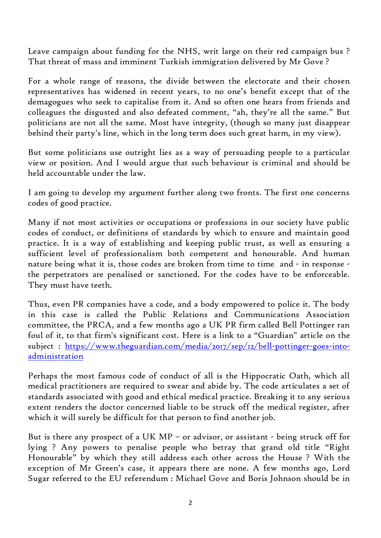Leave campaign about funding for the NHS, writ large on their red campaign bus ? That threat of mass and imminent Turkish immigration delivered by Mr Gove ?

For a whole range of reasons, the divide between the electorate and their chosen representatives has widened in recent years, to no one's benefit except that of the demagogues who seek to capitalise from it. And so often one hears from friends and colleagues the disgusted and also defeated comment, "ah, they're all the same." But politicians are not all the same. Most have integrity, (though so many just disappear behind their party's line, which in the long term does such great harm, in my view).

But some politicians use outright lies as a way of persuading people to a particular view or position. And I would argue that such behaviour is criminal and should be held accountable under the law.

I am going to develop my argument further along two fronts. The first one concerns codes of good practice.

Many if not most activities or occupations or professions in our society have public codes of conduct, or definitions of standards by which to ensure and maintain good practice. It is a way of establishing and keeping public trust, as well as ensuring a sufficient level of professionalism both competent and honourable. And human nature being what it is, those codes are broken from time to time and - in response the perpetrators are penalised or sanctioned. For the codes have to be enforceable. They must have teeth.

Thus, even PR companies have a code, and a body empowered to police it. The body in this case is called the Public Relations and Communications Association committee, the PRCA, and a few months ago a UK PR firm called Bell Pottinger ran foul of it, to that firm's significant cost. Here is a link to a "Guardian" article on the subject : [https://www.theguardian.com/media/2017/sep/12/bell-pottinger-goes-into](https://www.theguardian.com/media/2017/sep/12/bell-pottinger-goes-into-administration)[administration](https://www.theguardian.com/media/2017/sep/12/bell-pottinger-goes-into-administration)

Perhaps the most famous code of conduct of all is the Hippocratic Oath, which all medical practitioners are required to swear and abide by. The code articulates a set of standards associated with good and ethical medical practice. Breaking it to any serious extent renders the doctor concerned liable to be struck off the medical register, after which it will surely be difficult for that person to find another job.

But is there any prospect of a UK MP – or advisor, or assistant - being struck off for lying ? Any powers to penalise people who betray that grand old title "Right Honourable" by which they still address each other across the House ? With the exception of Mr Green's case, it appears there are none. A few months ago, Lord Sugar referred to the EU referendum : Michael Gove and Boris Johnson should be in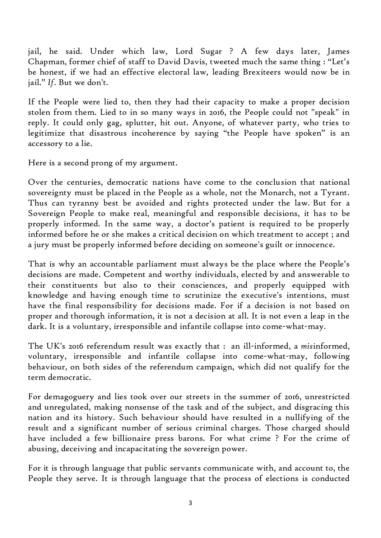jail, he said. Under which law, Lord Sugar ? A few days later, James Chapman, former chief of staff to David Davis, tweeted much the same thing : "Let's be honest, if we had an effective electoral law, leading Brexiteers would now be in jail." *If*. But we don't.

If the People were lied to, then they had their capacity to make a proper decision stolen from them. Lied to in so many ways in 2016, the People could not "speak" in reply. It could only gag, splutter, hit out. Anyone, of whatever party, who tries to legitimize that disastrous incoherence by saying "the People have spoken" is an accessory to a lie.

Here is a second prong of my argument.

Over the centuries, democratic nations have come to the conclusion that national sovereignty must be placed in the People as a whole, not the Monarch, not a Tyrant. Thus can tyranny best be avoided and rights protected under the law. But for a Sovereign People to make real, meaningful and responsible decisions, it has to be properly informed. In the same way, a doctor's patient is required to be properly informed before he or she makes a critical decision on which treatment to accept ; and a jury must be properly informed before deciding on someone's guilt or innocence.

That is why an accountable parliament must always be the place where the People's decisions are made. Competent and worthy individuals, elected by and answerable to their constituents but also to their consciences, and properly equipped with knowledge and having enough time to scrutinize the executive's intentions, must have the final responsibility for decisions made. For if a decision is not based on proper and thorough information, it is not a decision at all. It is not even a leap in the dark. It is a voluntary, irresponsible and infantile collapse into come-what-may.

The UK's 2016 referendum result was exactly that : an ill-informed, a *mis*informed, voluntary, irresponsible and infantile collapse into come-what-may, following behaviour, on both sides of the referendum campaign, which did not qualify for the term democratic.

For demagoguery and lies took over our streets in the summer of 2016, unrestricted and unregulated, making nonsense of the task and of the subject, and disgracing this nation and its history. Such behaviour should have resulted in a nullifying of the result and a significant number of serious criminal charges. Those charged should have included a few billionaire press barons. For what crime ? For the crime of abusing, deceiving and incapacitating the sovereign power.

For it is through language that public servants communicate with, and account to, the People they serve. It is through language that the process of elections is conducted